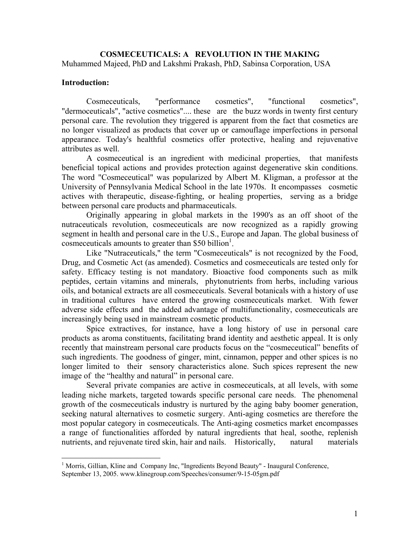**COSMECEUTICALS: A REVOLUTION IN THE MAKING**  Muhammed Majeed, PhD and Lakshmi Prakash, PhD, Sabinsa Corporation, USA

## **Introduction:**

<u>.</u>

 Cosmeceuticals, "performance cosmetics", "functional cosmetics", "dermoceuticals", "active cosmetics".... these are the buzz words in twenty first century personal care. The revolution they triggered is apparent from the fact that cosmetics are no longer visualized as products that cover up or camouflage imperfections in personal appearance. Today's healthful cosmetics offer protective, healing and rejuvenative attributes as well.

 A cosmeceutical is an ingredient with medicinal properties, that manifests beneficial topical actions and provides protection against degenerative skin conditions. The word "Cosmeceutical" was popularized by Albert M. Kligman, a professor at the University of Pennsylvania Medical School in the late 1970s. It encompasses cosmetic actives with therapeutic, disease-fighting, or healing properties, serving as a bridge between personal care products and pharmaceuticals.

 Originally appearing in global markets in the 1990's as an off shoot of the nutraceuticals revolution, cosmeceuticals are now recognized as a rapidly growing segment in health and personal care in the U.S., Europe and Japan. The global business of cosmeceuticals amounts to greater than \$50 billion<sup>1</sup>.

 Like "Nutraceuticals," the term "Cosmeceuticals" is not recognized by the Food, Drug, and Cosmetic Act (as amended). Cosmetics and cosmeceuticals are tested only for safety. Efficacy testing is not mandatory. Bioactive food components such as milk peptides, certain vitamins and minerals, phytonutrients from herbs, including various oils, and botanical extracts are all cosmeceuticals. Several botanicals with a history of use in traditional cultures have entered the growing cosmeceuticals market. With fewer adverse side effects and the added advantage of multifunctionality, cosmeceuticals are increasingly being used in mainstream cosmetic products.

 Spice extractives, for instance, have a long history of use in personal care products as aroma constituents, facilitating brand identity and aesthetic appeal. It is only recently that mainstream personal care products focus on the "cosmeceutical" benefits of such ingredients. The goodness of ginger, mint, cinnamon, pepper and other spices is no longer limited to their sensory characteristics alone. Such spices represent the new image of the "healthy and natural" in personal care.

 Several private companies are active in cosmeceuticals, at all levels, with some leading niche markets, targeted towards specific personal care needs. The phenomenal growth of the cosmeceuticals industry is nurtured by the aging baby boomer generation, seeking natural alternatives to cosmetic surgery. Anti-aging cosmetics are therefore the most popular category in cosmeceuticals. The Anti-aging cosmetics market encompasses a range of functionalities afforded by natural ingredients that heal, soothe, replenish nutrients, and rejuvenate tired skin, hair and nails. Historically, natural materials

<sup>&</sup>lt;sup>1</sup> Morris, Gillian, Kline and Company Inc, "Ingredients Beyond Beauty" - Inaugural Conference,

September 13, 2005. www.klinegroup.com/Speeches/consumer/9-15-05gm.pdf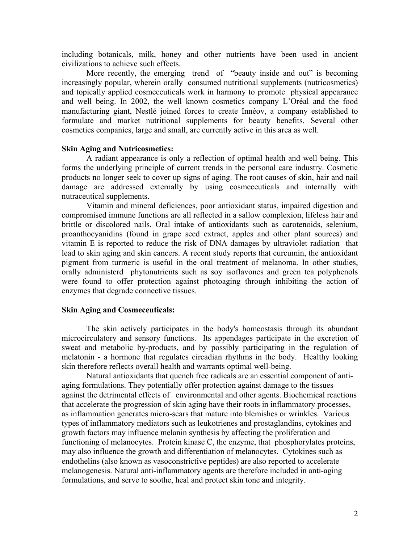including botanicals, milk, honey and other nutrients have been used in ancient civilizations to achieve such effects.

More recently, the emerging trend of "beauty inside and out" is becoming increasingly popular, wherein orally consumed nutritional supplements (nutricosmetics) and topically applied cosmeceuticals work in harmony to promote physical appearance and well being. In 2002, the well known cosmetics company L'Oréal and the food manufacturing giant, Nestlé joined forces to create Innéov, a company established to formulate and market nutritional supplements for beauty benefits. Several other cosmetics companies, large and small, are currently active in this area as well.

## **Skin Aging and Nutricosmetics:**

A radiant appearance is only a reflection of optimal health and well being. This forms the underlying principle of current trends in the personal care industry. Cosmetic products no longer seek to cover up signs of aging. The root causes of skin, hair and nail damage are addressed externally by using cosmeceuticals and internally with nutraceutical supplements.

Vitamin and mineral deficiences, poor antioxidant status, impaired digestion and compromised immune functions are all reflected in a sallow complexion, lifeless hair and brittle or discolored nails. Oral intake of antioxidants such as carotenoids, selenium, proanthocyanidins (found in grape seed extract, apples and other plant sources) and vitamin E is reported to reduce the risk of DNA damages by ultraviolet radiation that lead to skin aging and skin cancers. A recent study reports that curcumin, the antioxidant pigment from turmeric is useful in the oral treatment of melanoma. In other studies, orally administerd phytonutrients such as soy isoflavones and green tea polyphenols were found to offer protection against photoaging through inhibiting the action of enzymes that degrade connective tissues.

## **Skin Aging and Cosmeceuticals:**

 The skin actively participates in the body's homeostasis through its abundant microcirculatory and sensory functions. Its appendages participate in the excretion of sweat and metabolic by-products, and by possibly participating in the regulation of melatonin - a hormone that regulates circadian rhythms in the body. Healthy looking skin therefore reflects overall health and warrants optimal well-being.

 Natural antioxidants that quench free radicals are an essential component of antiaging formulations. They potentially offer protection against damage to the tissues against the detrimental effects of environmental and other agents. Biochemical reactions that accelerate the progression of skin aging have their roots in inflammatory processes, as inflammation generates micro-scars that mature into blemishes or wrinkles. Various types of inflammatory mediators such as leukotrienes and prostaglandins, cytokines and growth factors may influence melanin synthesis by affecting the proliferation and functioning of melanocytes. Protein kinase C, the enzyme, that phosphorylates proteins, may also influence the growth and differentiation of melanocytes. Cytokines such as endothelins (also known as vasoconstrictive peptides) are also reported to accelerate melanogenesis. Natural anti-inflammatory agents are therefore included in anti-aging formulations, and serve to soothe, heal and protect skin tone and integrity.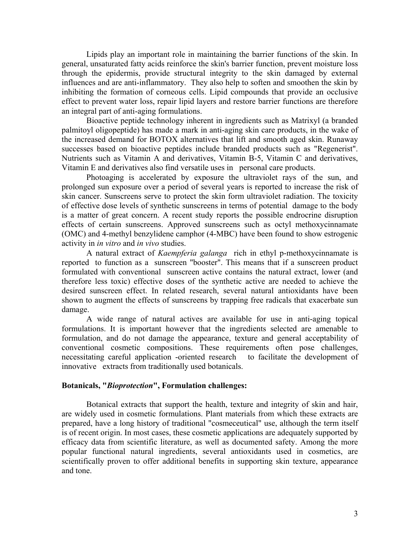Lipids play an important role in maintaining the barrier functions of the skin. In general, unsaturated fatty acids reinforce the skin's barrier function, prevent moisture loss through the epidermis, provide structural integrity to the skin damaged by external influences and are anti-inflammatory. They also help to soften and smoothen the skin by inhibiting the formation of corneous cells. Lipid compounds that provide an occlusive effect to prevent water loss, repair lipid layers and restore barrier functions are therefore an integral part of anti-aging formulations.

Bioactive peptide technology inherent in ingredients such as Matrixyl (a branded palmitoyl oligopeptide) has made a mark in anti-aging skin care products, in the wake of the increased demand for BOTOX alternatives that lift and smooth aged skin. Runaway successes based on bioactive peptides include branded products such as "Regenerist". Nutrients such as Vitamin A and derivatives, Vitamin B-5, Vitamin C and derivatives, Vitamin E and derivatives also find versatile uses in personal care products.

 Photoaging is accelerated by exposure the ultraviolet rays of the sun, and prolonged sun exposure over a period of several years is reported to increase the risk of skin cancer. Sunscreens serve to protect the skin form ultraviolet radiation. The toxicity of effective dose levels of synthetic sunscreens in terms of potential damage to the body is a matter of great concern. A recent study reports the possible endrocrine disruption effects of certain sunscreens. Approved sunscreens such as octyl methoxycinnamate (OMC) and 4-methyl benzylidene camphor (4-MBC) have been found to show estrogenic activity in *in vitro* and *in vivo* studies.

 A natural extract of *Kaempferia galanga* rich in ethyl p-methoxycinnamate is reported to function as a sunscreen "booster". This means that if a sunscreen product formulated with conventional sunscreen active contains the natural extract, lower (and therefore less toxic) effective doses of the synthetic active are needed to achieve the desired sunscreen effect. In related research, several natural antioxidants have been shown to augment the effects of sunscreens by trapping free radicals that exacerbate sun damage.

 A wide range of natural actives are available for use in anti-aging topical formulations. It is important however that the ingredients selected are amenable to formulation, and do not damage the appearance, texture and general acceptability of conventional cosmetic compositions. These requirements often pose challenges, necessitating careful application -oriented research to facilitate the development of innovative extracts from traditionally used botanicals.

## **Botanicals, "***Bioprotection***", Formulation challenges:**

 Botanical extracts that support the health, texture and integrity of skin and hair, are widely used in cosmetic formulations. Plant materials from which these extracts are prepared, have a long history of traditional "cosmeceutical" use, although the term itself is of recent origin. In most cases, these cosmetic applications are adequately supported by efficacy data from scientific literature, as well as documented safety. Among the more popular functional natural ingredients, several antioxidants used in cosmetics, are scientifically proven to offer additional benefits in supporting skin texture, appearance and tone.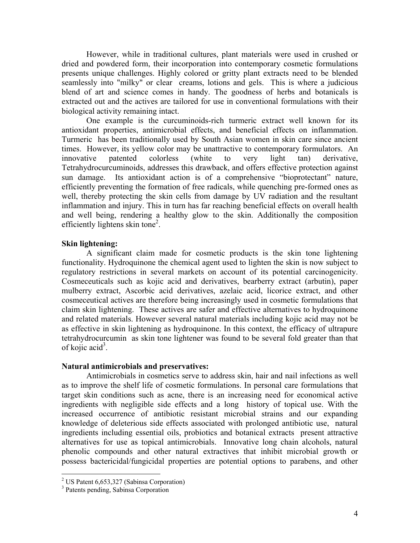However, while in traditional cultures, plant materials were used in crushed or dried and powdered form, their incorporation into contemporary cosmetic formulations presents unique challenges. Highly colored or gritty plant extracts need to be blended seamlessly into "milky" or clear creams, lotions and gels. This is where a judicious blend of art and science comes in handy. The goodness of herbs and botanicals is extracted out and the actives are tailored for use in conventional formulations with their biological activity remaining intact.

 One example is the curcuminoids-rich turmeric extract well known for its antioxidant properties, antimicrobial effects, and beneficial effects on inflammation. Turmeric has been traditionally used by South Asian women in skin care since ancient times. However, its yellow color may be unattractive to contemporary formulators. An innovative patented colorless (white to very light tan) derivative, Tetrahydrocurcuminoids, addresses this drawback, and offers effective protection against sun damage. Its antioxidant action is of a comprehensive "bioprotectant" nature, efficiently preventing the formation of free radicals, while quenching pre-formed ones as well, thereby protecting the skin cells from damage by UV radiation and the resultant inflammation and injury. This in turn has far reaching beneficial effects on overall health and well being, rendering a healthy glow to the skin. Additionally the composition efficiently lightens skin tone<sup>2</sup>.

## **Skin lightening:**

 A significant claim made for cosmetic products is the skin tone lightening functionality. Hydroquinone the chemical agent used to lighten the skin is now subject to regulatory restrictions in several markets on account of its potential carcinogenicity. Cosmeceuticals such as kojic acid and derivatives, bearberry extract (arbutin), paper mulberry extract, Ascorbic acid derivatives, azelaic acid, licorice extract, and other cosmeceutical actives are therefore being increasingly used in cosmetic formulations that claim skin lightening. These actives are safer and effective alternatives to hydroquinone and related materials. However several natural materials including kojic acid may not be as effective in skin lightening as hydroquinone. In this context, the efficacy of ultrapure tetrahydrocurcumin as skin tone lightener was found to be several fold greater than that of kojic acid<sup>3</sup>.

## **Natural antimicrobials and preservatives:**

Antimicrobials in cosmetics serve to address skin, hair and nail infections as well as to improve the shelf life of cosmetic formulations. In personal care formulations that target skin conditions such as acne, there is an increasing need for economical active ingredients with negligible side effects and a long history of topical use. With the increased occurrence of antibiotic resistant microbial strains and our expanding knowledge of deleterious side effects associated with prolonged antibiotic use, natural ingredients including essential oils, probiotics and botanical extracts present attractive alternatives for use as topical antimicrobials. Innovative long chain alcohols, natural phenolic compounds and other natural extractives that inhibit microbial growth or possess bactericidal/fungicidal properties are potential options to parabens, and other

 $\overline{a}$ 

<sup>&</sup>lt;sup>2</sup> US Patent 6,653,327 (Sabinsa Corporation)

<sup>3</sup> Patents pending, Sabinsa Corporation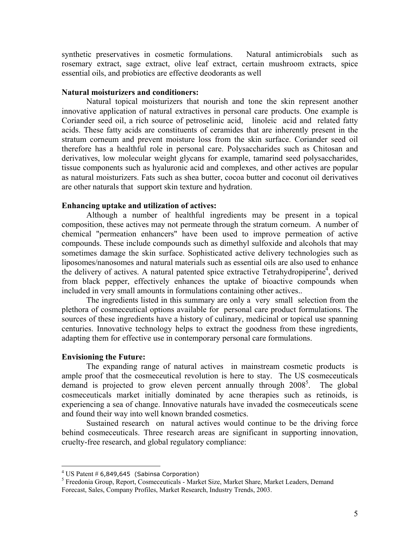synthetic preservatives in cosmetic formulations. Natural antimicrobials such as rosemary extract, sage extract, olive leaf extract, certain mushroom extracts, spice essential oils, and probiotics are effective deodorants as well

## **Natural moisturizers and conditioners:**

 Natural topical moisturizers that nourish and tone the skin represent another innovative application of natural extractives in personal care products. One example is Coriander seed oil, a rich source of petroselinic acid, linoleic acid and related fatty acids. These fatty acids are constituents of ceramides that are inherently present in the stratum corneum and prevent moisture loss from the skin surface. Coriander seed oil therefore has a healthful role in personal care. Polysaccharides such as Chitosan and derivatives, low molecular weight glycans for example, tamarind seed polysaccharides, tissue components such as hyaluronic acid and complexes, and other actives are popular as natural moisturizers. Fats such as shea butter, cocoa butter and coconut oil derivatives are other naturals that support skin texture and hydration.

## **Enhancing uptake and utilization of actives:**

 Although a number of healthful ingredients may be present in a topical composition, these actives may not permeate through the stratum corneum. A number of chemical "permeation enhancers" have been used to improve permeation of active compounds. These include compounds such as dimethyl sulfoxide and alcohols that may sometimes damage the skin surface. Sophisticated active delivery technologies such as liposomes/nanosomes and natural materials such as essential oils are also used to enhance the delivery of actives. A natural patented spice extractive Tetrahydropiperine<sup>4</sup>, derived from black pepper, effectively enhances the uptake of bioactive compounds when included in very small amounts in formulations containing other actives..

The ingredients listed in this summary are only a very small selection from the plethora of cosmeceutical options available for personal care product formulations. The sources of these ingredients have a history of culinary, medicinal or topical use spanning centuries. Innovative technology helps to extract the goodness from these ingredients, adapting them for effective use in contemporary personal care formulations.

#### **Envisioning the Future:**

 $\overline{a}$ 

The expanding range of natural actives in mainstream cosmetic products is ample proof that the cosmeceutical revolution is here to stay. The US cosmeceuticals demand is projected to grow eleven percent annually through 2008<sup>5</sup>. The global cosmeceuticals market initially dominated by acne therapies such as retinoids, is experiencing a sea of change. Innovative naturals have invaded the cosmeceuticals scene and found their way into well known branded cosmetics.

Sustained research on natural actives would continue to be the driving force behind cosmeceuticals. Three research areas are significant in supporting innovation, cruelty-free research, and global regulatory compliance:

 $^{4}$  US Patent # 6,849,645 (Sabinsa Corporation)

<sup>&</sup>lt;sup>5</sup> Freedonia Group, Report, Cosmeceuticals - Market Size, Market Share, Market Leaders, Demand Forecast, Sales, Company Profiles, Market Research, Industry Trends, 2003.